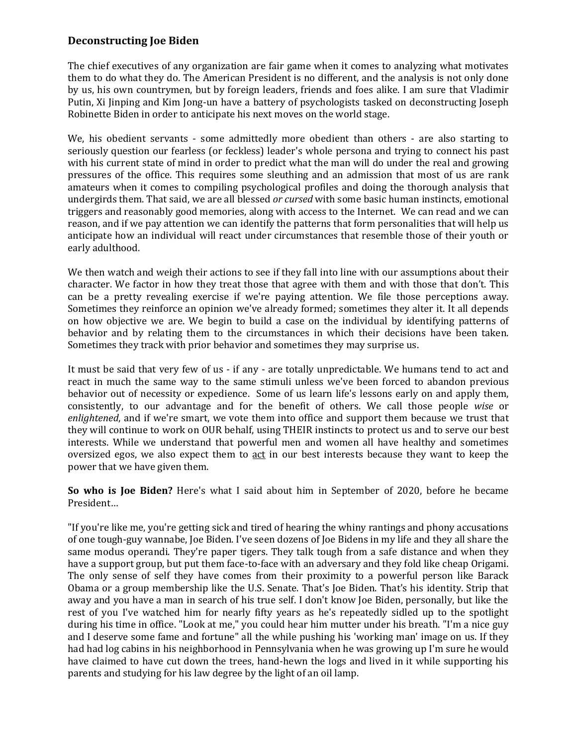## **Deconstructing Joe Biden**

The chief executives of any organization are fair game when it comes to analyzing what motivates them to do what they do. The American President is no different, and the analysis is not only done by us, his own countrymen, but by foreign leaders, friends and foes alike. I am sure that Vladimir Putin, Xi Jinping and Kim Jong-un have a battery of psychologists tasked on deconstructing Joseph Robinette Biden in order to anticipate his next moves on the world stage.

We, his obedient servants - some admittedly more obedient than others - are also starting to seriously question our fearless (or feckless) leader's whole persona and trying to connect his past with his current state of mind in order to predict what the man will do under the real and growing pressures of the office. This requires some sleuthing and an admission that most of us are rank amateurs when it comes to compiling psychological profiles and doing the thorough analysis that undergirds them. That said, we are all blessed *or cursed* with some basic human instincts, emotional triggers and reasonably good memories, along with access to the Internet. We can read and we can reason, and if we pay attention we can identify the patterns that form personalities that will help us anticipate how an individual will react under circumstances that resemble those of their youth or early adulthood.

We then watch and weigh their actions to see if they fall into line with our assumptions about their character. We factor in how they treat those that agree with them and with those that don't. This can be a pretty revealing exercise if we're paying attention. We file those perceptions away. Sometimes they reinforce an opinion we've already formed; sometimes they alter it. It all depends on how objective we are. We begin to build a case on the individual by identifying patterns of behavior and by relating them to the circumstances in which their decisions have been taken. Sometimes they track with prior behavior and sometimes they may surprise us.

It must be said that very few of us - if any - are totally unpredictable. We humans tend to act and react in much the same way to the same stimuli unless we've been forced to abandon previous behavior out of necessity or expedience. Some of us learn life's lessons early on and apply them, consistently, to our advantage and for the benefit of others. We call those people *wise* or *enlightened*, and if we're smart, we vote them into office and support them because we trust that they will continue to work on OUR behalf, using THEIR instincts to protect us and to serve our best interests. While we understand that powerful men and women all have healthy and sometimes oversized egos, we also expect them to act in our best interests because they want to keep the power that we have given them.

**So who is Joe Biden?** Here's what I said about him in September of 2020, before he became President…

"If you're like me, you're getting sick and tired of hearing the whiny rantings and phony accusations of one tough-guy wannabe, Joe Biden. I've seen dozens of Joe Bidens in my life and they all share the same modus operandi. They're paper tigers. They talk tough from a safe distance and when they have a support group, but put them face-to-face with an adversary and they fold like cheap Origami. The only sense of self they have comes from their proximity to a powerful person like Barack Obama or a group membership like the U.S. Senate. That's Joe Biden. That's his identity. Strip that away and you have a man in search of his true self. I don't know Joe Biden, personally, but like the rest of you I've watched him for nearly fifty years as he's repeatedly sidled up to the spotlight during his time in office. "Look at me," you could hear him mutter under his breath. "I'm a nice guy and I deserve some fame and fortune" all the while pushing his 'working man' image on us. If they had had log cabins in his neighborhood in Pennsylvania when he was growing up I'm sure he would have claimed to have cut down the trees, hand-hewn the logs and lived in it while supporting his parents and studying for his law degree by the light of an oil lamp.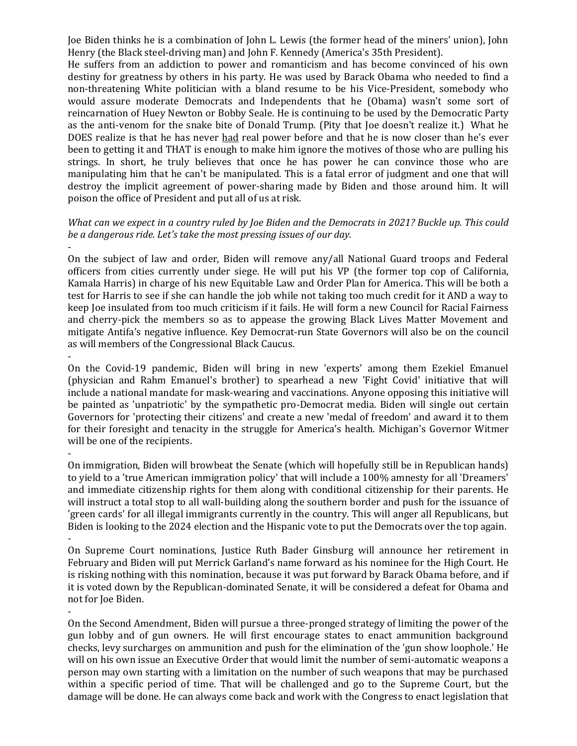Joe Biden thinks he is a combination of John L. Lewis (the former head of the miners' union), John Henry (the Black steel-driving man) and John F. Kennedy (America's 35th President).

He suffers from an addiction to power and romanticism and has become convinced of his own destiny for greatness by others in his party. He was used by Barack Obama who needed to find a non-threatening White politician with a bland resume to be his Vice-President, somebody who would assure moderate Democrats and Independents that he (Obama) wasn't some sort of reincarnation of Huey Newton or Bobby Seale. He is continuing to be used by the Democratic Party as the anti-venom for the snake bite of Donald Trump. (Pity that Joe doesn't realize it.) What he DOES realize is that he has never had real power before and that he is now closer than he's ever been to getting it and THAT is enough to make him ignore the motives of those who are pulling his strings. In short, he truly believes that once he has power he can convince those who are manipulating him that he can't be manipulated. This is a fatal error of judgment and one that will destroy the implicit agreement of power-sharing made by Biden and those around him. It will poison the office of President and put all of us at risk.

## *What can we expect in a country ruled by Joe Biden and the Democrats in 2021? Buckle up. This could be a dangerous ride. Let's take the most pressing issues of our day.*

On the subject of law and order, Biden will remove any/all National Guard troops and Federal officers from cities currently under siege. He will put his VP (the former top cop of California, Kamala Harris) in charge of his new Equitable Law and Order Plan for America. This will be both a test for Harris to see if she can handle the job while not taking too much credit for it AND a way to keep Joe insulated from too much criticism if it fails. He will form a new Council for Racial Fairness and cherry-pick the members so as to appease the growing Black Lives Matter Movement and mitigate Antifa's negative influence. Key Democrat-run State Governors will also be on the council as will members of the Congressional Black Caucus.

On the Covid-19 pandemic, Biden will bring in new 'experts' among them Ezekiel Emanuel (physician and Rahm Emanuel's brother) to spearhead a new 'Fight Covid' initiative that will include a national mandate for mask-wearing and vaccinations. Anyone opposing this initiative will be painted as 'unpatriotic' by the sympathetic pro-Democrat media. Biden will single out certain Governors for 'protecting their citizens' and create a new 'medal of freedom' and award it to them for their foresight and tenacity in the struggle for America's health. Michigan's Governor Witmer will be one of the recipients.

-

-

-

On immigration, Biden will browbeat the Senate (which will hopefully still be in Republican hands) to yield to a 'true American immigration policy' that will include a 100% amnesty for all 'Dreamers' and immediate citizenship rights for them along with conditional citizenship for their parents. He will instruct a total stop to all wall-building along the southern border and push for the issuance of 'green cards' for all illegal immigrants currently in the country. This will anger all Republicans, but Biden is looking to the 2024 election and the Hispanic vote to put the Democrats over the top again. -

On Supreme Court nominations, Justice Ruth Bader Ginsburg will announce her retirement in February and Biden will put Merrick Garland's name forward as his nominee for the High Court. He is risking nothing with this nomination, because it was put forward by Barack Obama before, and if it is voted down by the Republican-dominated Senate, it will be considered a defeat for Obama and not for Joe Biden.

-

On the Second Amendment, Biden will pursue a three-pronged strategy of limiting the power of the gun lobby and of gun owners. He will first encourage states to enact ammunition background checks, levy surcharges on ammunition and push for the elimination of the 'gun show loophole.' He will on his own issue an Executive Order that would limit the number of semi-automatic weapons a person may own starting with a limitation on the number of such weapons that may be purchased within a specific period of time. That will be challenged and go to the Supreme Court, but the damage will be done. He can always come back and work with the Congress to enact legislation that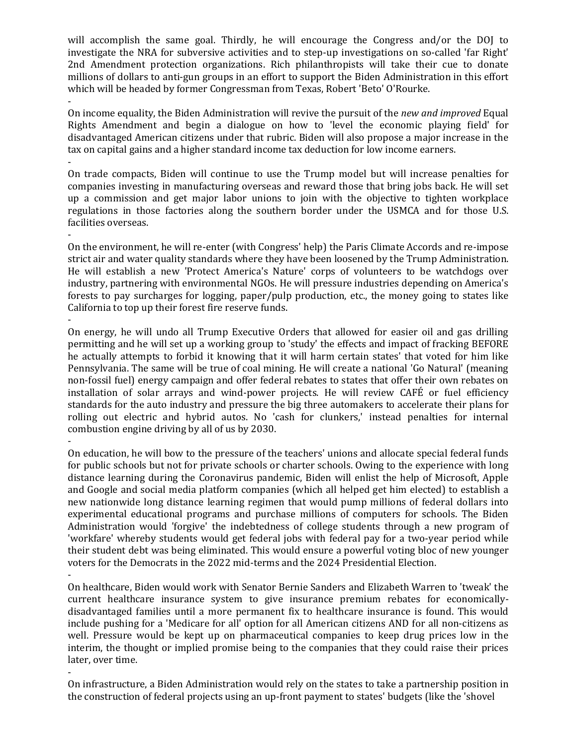will accomplish the same goal. Thirdly, he will encourage the Congress and/or the DOJ to investigate the NRA for subversive activities and to step-up investigations on so-called 'far Right' 2nd Amendment protection organizations. Rich philanthropists will take their cue to donate millions of dollars to anti-gun groups in an effort to support the Biden Administration in this effort which will be headed by former Congressman from Texas, Robert 'Beto' O'Rourke. -

On income equality, the Biden Administration will revive the pursuit of the *new and improved* Equal Rights Amendment and begin a dialogue on how to 'level the economic playing field' for disadvantaged American citizens under that rubric. Biden will also propose a major increase in the tax on capital gains and a higher standard income tax deduction for low income earners.

On trade compacts, Biden will continue to use the Trump model but will increase penalties for companies investing in manufacturing overseas and reward those that bring jobs back. He will set up a commission and get major labor unions to join with the objective to tighten workplace regulations in those factories along the southern border under the USMCA and for those U.S. facilities overseas.

-

-

On the environment, he will re-enter (with Congress' help) the Paris Climate Accords and re-impose strict air and water quality standards where they have been loosened by the Trump Administration. He will establish a new 'Protect America's Nature' corps of volunteers to be watchdogs over industry, partnering with environmental NGOs. He will pressure industries depending on America's forests to pay surcharges for logging, paper/pulp production, etc., the money going to states like California to top up their forest fire reserve funds. -

On energy, he will undo all Trump Executive Orders that allowed for easier oil and gas drilling permitting and he will set up a working group to 'study' the effects and impact of fracking BEFORE he actually attempts to forbid it knowing that it will harm certain states' that voted for him like Pennsylvania. The same will be true of coal mining. He will create a national 'Go Natural' (meaning non-fossil fuel) energy campaign and offer federal rebates to states that offer their own rebates on installation of solar arrays and wind-power projects. He will review CAFÉ or fuel efficiency standards for the auto industry and pressure the big three automakers to accelerate their plans for rolling out electric and hybrid autos. No 'cash for clunkers,' instead penalties for internal combustion engine driving by all of us by 2030.

On education, he will bow to the pressure of the teachers' unions and allocate special federal funds for public schools but not for private schools or charter schools. Owing to the experience with long distance learning during the Coronavirus pandemic, Biden will enlist the help of Microsoft, Apple and Google and social media platform companies (which all helped get him elected) to establish a new nationwide long distance learning regimen that would pump millions of federal dollars into experimental educational programs and purchase millions of computers for schools. The Biden Administration would 'forgive' the indebtedness of college students through a new program of 'workfare' whereby students would get federal jobs with federal pay for a two-year period while their student debt was being eliminated. This would ensure a powerful voting bloc of new younger voters for the Democrats in the 2022 mid-terms and the 2024 Presidential Election.

-

-

On healthcare, Biden would work with Senator Bernie Sanders and Elizabeth Warren to 'tweak' the current healthcare insurance system to give insurance premium rebates for economicallydisadvantaged families until a more permanent fix to healthcare insurance is found. This would include pushing for a 'Medicare for all' option for all American citizens AND for all non-citizens as well. Pressure would be kept up on pharmaceutical companies to keep drug prices low in the interim, the thought or implied promise being to the companies that they could raise their prices later, over time.

- On infrastructure, a Biden Administration would rely on the states to take a partnership position in the construction of federal projects using an up-front payment to states' budgets (like the 'shovel